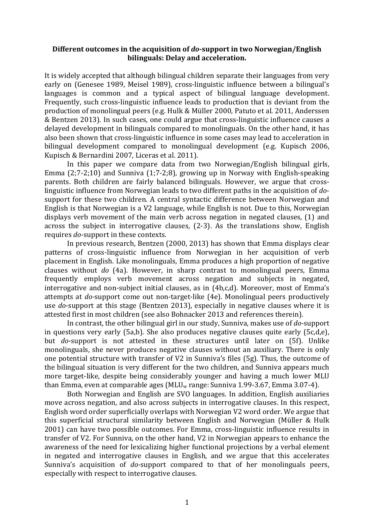## Different outcomes in the acquisition of *do*-support in two Norwegian/English **bilinguals: Delay and acceleration.**

It is widely accepted that although bilingual children separate their languages from very early on (Genesee 1989, Meisel 1989), cross-linguistic influence between a bilingual's languages is common and a typical aspect of bilingual language development. Frequently, such cross-linguistic influence leads to production that is deviant from the production of monolingual peers (e.g. Hulk & Müller 2000, Patuto et al. 2011, Anderssen & Bentzen 2013). In such cases, one could argue that cross-linguistic influence causes a delayed development in bilinguals compared to monolinguals. On the other hand, it has also been shown that cross-linguistic influence in some cases may lead to acceleration in bilingual development compared to monolingual development (e.g. Kupisch 2006, Kupisch & Bernardini 2007, Liceras et al. 2011).

In this paper we compare data from two Norwegian/English bilingual girls, Emma  $(2,7-2,10)$  and Sunniva  $(1,7-2,8)$ , growing up in Norway with English-speaking parents. Both children are fairly balanced bilinguals. However, we argue that crosslinguistic influence from Norwegian leads to two different paths in the acquisition of *do*support for these two children. A central syntactic difference between Norwegian and English is that Norwegian is a  $V2$  language, while English is not. Due to this, Norwegian displays verb movement of the main verb across negation in negated clauses, (1) and across the subject in interrogative clauses,  $(2-3)$ . As the translations show, English requires *do*-support in these contexts.

In previous research, Bentzen (2000, 2013) has shown that Emma displays clear patterns of cross-linguistic influence from Norwegian in her acquisition of verb placement in English. Like monolinguals, Emma produces a high proportion of negative clauses without *do* (4a). However, in sharp contrast to monolingual peers, Emma frequently employs verb movement across negation and subjects in negated, interrogative and non-subject initial clauses, as in  $(4b,c,d)$ . Moreover, most of Emma's attempts at *do*-support come out non-target-like (4e). Monolingual peers productively use *do*-support at this stage (Bentzen 2013), especially in negative clauses where it is attested first in most children (see also Bohnacker 2013 and references therein).

In contrast, the other bilingual girl in our study, Sunniva, makes use of *do*-support in questions very early  $(5a,b)$ . She also produces negative clauses quite early  $(5c,d,e)$ , but *do*-support is not attested in these structures until later on (5f). Unlike monolinguals, she never produces negative clauses without an auxiliary. There is only one potential structure with transfer of  $V2$  in Sunniva's files  $(5g)$ . Thus, the outcome of the bilingual situation is very different for the two children, and Sunniva appears much more target-like, despite being considerably younger and having a much lower MLU than Emma, even at comparable ages ( $MLU_w$  range: Sunniva 1.99-3.67, Emma 3.07-4).

Both Norwegian and English are SVO languages. In addition, English auxiliaries move across negation, and also across subjects in interrogative clauses. In this respect, English word order superficially overlaps with Norwegian V2 word order. We argue that this superficial structural similarity between English and Norwegian (Müller & Hulk 2001) can have two possible outcomes. For Emma, cross-linguistic influence results in transfer of V2. For Sunniva, on the other hand, V2 in Norwegian appears to enhance the awareness of the need for lexicalizing higher functional projections by a verbal element in negated and interrogative clauses in English, and we argue that this accelerates Sunniva's acquisition of *do*-support compared to that of her monolinguals peers, especially with respect to interrogative clauses.